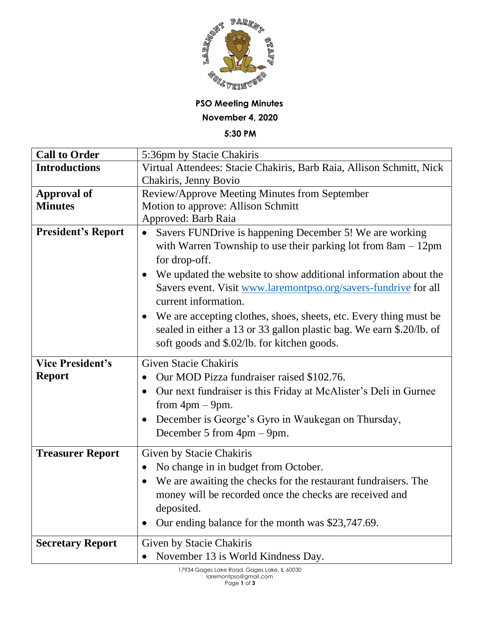

## **PSO Meeting Minutes November 4, 2020**

**5:30 PM**

| <b>Call to Order</b>      | 5:36pm by Stacie Chakiris                                                               |
|---------------------------|-----------------------------------------------------------------------------------------|
| <b>Introductions</b>      | Virtual Attendees: Stacie Chakiris, Barb Raia, Allison Schmitt, Nick                    |
|                           | Chakiris, Jenny Bovio                                                                   |
| <b>Approval of</b>        | Review/Approve Meeting Minutes from September                                           |
| <b>Minutes</b>            | Motion to approve: Allison Schmitt                                                      |
|                           | Approved: Barb Raia                                                                     |
| <b>President's Report</b> | Savers FUNDrive is happening December 5! We are working<br>$\bullet$                    |
|                           | with Warren Township to use their parking lot from $8am - 12pm$<br>for drop-off.        |
|                           | We updated the website to show additional information about the<br>$\bullet$            |
|                           | Savers event. Visit www.laremontpso.org/savers-fundrive for all<br>current information. |
|                           | We are accepting clothes, shoes, sheets, etc. Every thing must be<br>$\bullet$          |
|                           | sealed in either a 13 or 33 gallon plastic bag. We earn \$.20/lb. of                    |
|                           | soft goods and \$.02/lb. for kitchen goods.                                             |
|                           |                                                                                         |
| <b>Vice President's</b>   | <b>Given Stacie Chakiris</b>                                                            |
| <b>Report</b>             | Our MOD Pizza fundraiser raised \$102.76.<br>$\bullet$                                  |
|                           | Our next fundraiser is this Friday at McAlister's Deli in Gurnee                        |
|                           | from $4pm - 9pm$ .<br>$\bullet$                                                         |
|                           | December is George's Gyro in Waukegan on Thursday,<br>December 5 from $4pm - 9pm$ .     |
|                           |                                                                                         |
| <b>Treasurer Report</b>   | Given by Stacie Chakiris<br>$\bullet$                                                   |
|                           | No change in in budget from October.<br>$\bullet$                                       |
|                           | We are awaiting the checks for the restaurant fundraisers. The                          |
|                           | money will be recorded once the checks are received and                                 |
|                           | deposited.                                                                              |
|                           | Our ending balance for the month was \$23,747.69.                                       |
| <b>Secretary Report</b>   | Given by Stacie Chakiris<br>November 13 is World Kindness Day.                          |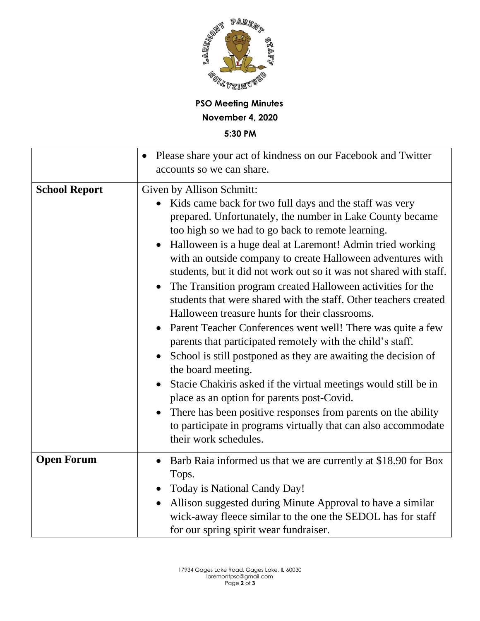

**PSO Meeting Minutes November 4, 2020**

**5:30 PM**

|                      | Please share your act of kindness on our Facebook and Twitter<br>accounts so we can share.                                                                                                                                                                                                                                                                                                                                                                                                                                                                                                                                                                                                                                                                                                                                                                                                                                                                                                                                                                                                                                             |
|----------------------|----------------------------------------------------------------------------------------------------------------------------------------------------------------------------------------------------------------------------------------------------------------------------------------------------------------------------------------------------------------------------------------------------------------------------------------------------------------------------------------------------------------------------------------------------------------------------------------------------------------------------------------------------------------------------------------------------------------------------------------------------------------------------------------------------------------------------------------------------------------------------------------------------------------------------------------------------------------------------------------------------------------------------------------------------------------------------------------------------------------------------------------|
| <b>School Report</b> | Given by Allison Schmitt:<br>Kids came back for two full days and the staff was very<br>prepared. Unfortunately, the number in Lake County became<br>too high so we had to go back to remote learning.<br>Halloween is a huge deal at Laremont! Admin tried working<br>with an outside company to create Halloween adventures with<br>students, but it did not work out so it was not shared with staff.<br>The Transition program created Halloween activities for the<br>$\bullet$<br>students that were shared with the staff. Other teachers created<br>Halloween treasure hunts for their classrooms.<br>Parent Teacher Conferences went well! There was quite a few<br>parents that participated remotely with the child's staff.<br>School is still postponed as they are awaiting the decision of<br>the board meeting.<br>Stacie Chakiris asked if the virtual meetings would still be in<br>$\bullet$<br>place as an option for parents post-Covid.<br>There has been positive responses from parents on the ability<br>$\bullet$<br>to participate in programs virtually that can also accommodate<br>their work schedules. |
| <b>Open Forum</b>    | Barb Raia informed us that we are currently at \$18.90 for Box<br>$\bullet$<br>Tops.<br>Today is National Candy Day!<br>$\bullet$<br>Allison suggested during Minute Approval to have a similar<br>$\bullet$<br>wick-away fleece similar to the one the SEDOL has for staff<br>for our spring spirit wear fundraiser.                                                                                                                                                                                                                                                                                                                                                                                                                                                                                                                                                                                                                                                                                                                                                                                                                  |